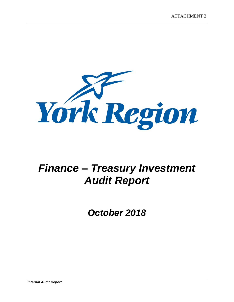

# *Finance – Treasury Investment Audit Report*

*October 2018*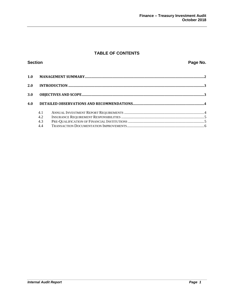# **TABLE OF CONTENTS**

| <b>Section</b> |                          | Page No. |  |
|----------------|--------------------------|----------|--|
| 1.0            |                          |          |  |
| 2.0            |                          |          |  |
| 3.0            |                          |          |  |
| 4.0            |                          |          |  |
|                | 4.1<br>4.2<br>4.3<br>4.4 |          |  |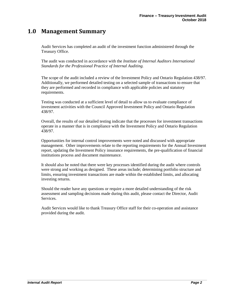# **1.0 Management Summary**

Audit Services has completed an audit of the investment function administered through the Treasury Office.

The audit was conducted in accordance with the *Institute of Internal Auditors International Standards for the Professional Practice of Internal Auditing.*

The scope of the audit included a review of the Investment Policy and Ontario Regulation 438/97. Additionally, we performed detailed testing on a selected sample of transactions to ensure that they are performed and recorded in compliance with applicable policies and statutory requirements.

Testing was conducted at a sufficient level of detail to allow us to evaluate compliance of investment activities with the Council Approved Investment Policy and Ontario Regulation 438/97.

Overall, the results of our detailed testing indicate that the processes for investment transactions operate in a manner that is in compliance with the Investment Policy and Ontario Regulation 438/97.

Opportunities for internal control improvements were noted and discussed with appropriate management. Other improvements relate to the reporting requirements for the Annual Investment report, updating the Investment Policy insurance requirements, the pre-qualification of financial institutions process and document maintenance.

It should also be noted that there were key processes identified during the audit where controls were strong and working as designed. These areas include; determining portfolio structure and limits, ensuring investment transactions are made within the established limits, and allocating investing returns.

Should the reader have any questions or require a more detailed understanding of the risk assessment and sampling decisions made during this audit, please contact the Director, Audit Services.

Audit Services would like to thank Treasury Office staff for their co-operation and assistance provided during the audit.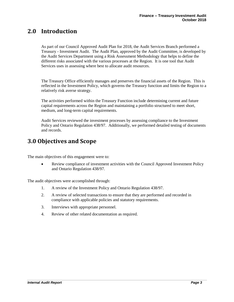# **2.0 Introduction**

As part of our Council Approved Audit Plan for 2018, the Audit Services Branch performed a Treasury - Investment Audit. The Audit Plan, approved by the Audit Committee, is developed by the Audit Services Department using a Risk Assessment Methodology that helps to define the different risks associated with the various processes at the Region. It is one tool that Audit Services uses in assessing where best to allocate audit resources.

The Treasury Office efficiently manages and preserves the financial assets of the Region. This is reflected in the Investment Policy, which governs the Treasury function and limits the Region to a relatively risk averse strategy.

The activities performed within the Treasury Function include determining current and future capital requirements across the Region and maintaining a portfolio structured to meet short, medium, and long-term capital requirements.

Audit Services reviewed the investment processes by assessing compliance to the Investment Policy and Ontario Regulation 438/97. Additionally, we performed detailed testing of documents and records.

# **3.0 Objectives and Scope**

The main objectives of this engagement were to:

 Review compliance of investment activities with the Council Approved Investment Policy and Ontario Regulation 438/97.

The audit objectives were accomplished through:

- 1. A review of the Investment Policy and Ontario Regulation 438/97.
- 2. A review of selected transactions to ensure that they are performed and recorded in compliance with applicable policies and statutory requirements.
- 3. Interviews with appropriate personnel.
- 4. Review of other related documentation as required.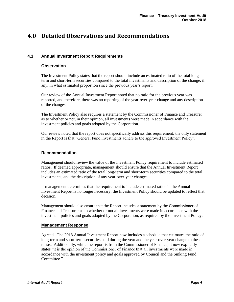# **4.0 Detailed Observations and Recommendations**

# **4.1 Annual Investment Report Requirements**

## **Observation**

The Investment Policy states that the report should include an estimated ratio of the total longterm and short-term securities compared to the total investments and description of the change, if any, in what estimated proportion since the previous year's report.

Our review of the Annual Investment Report noted that no ratio for the previous year was reported, and therefore, there was no reporting of the year-over-year change and any description of the changes.

The Investment Policy also requires a statement by the Commissioner of Finance and Treasurer as to whether or not, in their opinion, all investments were made in accordance with the investment policies and goals adopted by the Corporation.

Our review noted that the report does not specifically address this requirement; the only statement in the Report is that "General Fund investments adhere to the approved Investment Policy".

#### **Recommendation**

Management should review the value of the Investment Policy requirement to include estimated ratios. If deemed appropriate, management should ensure that the Annual Investment Report includes an estimated ratio of the total long-term and short-term securities compared to the total investments, and the description of any year-over-year changes.

If management determines that the requirement to include estimated ratios in the Annual Investment Report is no longer necessary, the Investment Policy should be updated to reflect that decision.

Management should also ensure that the Report includes a statement by the Commissioner of Finance and Treasurer as to whether or not all investments were made in accordance with the investment policies and goals adopted by the Corporation, as required by the Investment Policy.

## **Management Response**

Agreed. The 2018 Annual Investment Report now includes a schedule that estimates the ratio of long-term and short-term securities held during the year and the year-over-year change to these ratios. Additionally, while the report is from the Commissioner of Finance, it now explicitly states "it is the opinion of the Commissioner of Finance that all investments were made in accordance with the investment policy and goals approved by Council and the Sinking Fund Committee."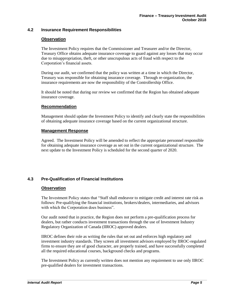## **4.2 Insurance Requirement Responsibilities**

#### **Observation**

The Investment Policy requires that the Commissioner and Treasurer and/or the Director, Treasury Office obtains adequate insurance coverage to guard against any losses that may occur due to misappropriation, theft, or other unscrupulous acts of fraud with respect to the Corporation's financial assets.

During our audit, we confirmed that the policy was written at a time in which the Director, Treasury was responsible for obtaining insurance coverage. Through re-organization, the insurance requirements are now the responsibility of the Controllership Office.

It should be noted that during our review we confirmed that the Region has obtained adequate insurance coverage.

#### **Recommendation**

Management should update the Investment Policy to identify and clearly state the responsibilities of obtaining adequate insurance coverage based on the current organizational structure.

#### **Management Response**

Agreed. The Investment Policy will be amended to reflect the appropriate personnel responsible for obtaining adequate insurance coverage as set out in the current organizational structure. The next update to the Investment Policy is scheduled for the second quarter of 2020.

# **4.3 Pre-Qualification of Financial Institutions**

#### **Observation**

The Investment Policy states that "Staff shall endeavor to mitigate credit and interest rate risk as follows: Pre-qualifying the financial institutions, brokers/dealers, intermediaries, and advisors with which the Corporation does business".

Our audit noted that in practice, the Region does not perform a pre-qualification process for dealers, but rather conducts investment transactions through the use of Investment Industry Regulatory Organization of Canada (IIROC) approved dealers.

IIROC defines their role as writing the rules that set out and enforces high regulatory and investment industry standards. They screen all investment advisors employed by IIROC-regulated firms to ensure they are of good character, are properly trained, and have successfully completed all the required educational courses, background checks and programs.

The Investment Policy as currently written does not mention any requirement to use only IIROC pre-qualified dealers for investment transactions.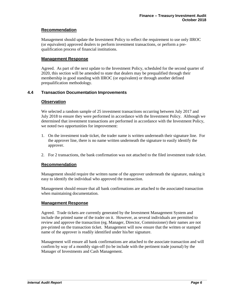# **Recommendation**

Management should update the Investment Policy to reflect the requirement to use only IIROC (or equivalent) approved dealers to perform investment transactions, or perform a prequalification process of financial institutions.

#### **Management Response**

Agreed. As part of the next update to the Investment Policy, scheduled for the second quarter of 2020, this section will be amended to state that dealers may be prequalified through their membership in good standing with IIROC (or equivalent) or through another defined prequalification methodology.

# **4.4 Transaction Documentation Improvements**

#### **Observation**

We selected a random sample of 25 investment transactions occurring between July 2017 and July 2018 to ensure they were performed in accordance with the Investment Policy. Although we determined that investment transactions are performed in accordance with the Investment Policy, we noted two opportunities for improvement:

- 1. On the investment trade ticket, the trader name is written underneath their signature line. For the approver line, there is no name written underneath the signature to easily identify the approver.
- 2. For 2 transactions, the bank confirmation was not attached to the filed investment trade ticket.

## **Recommendation**

Management should require the written name of the approver underneath the signature, making it easy to identify the individual who approved the transaction.

Management should ensure that all bank confirmations are attached to the associated transaction when maintaining documentation.

#### **Management Response**

Agreed. Trade tickets are currently generated by the Investment Management System and include the printed name of the trader on it. However, as several individuals are permitted to review and approve the transaction (eg. Manager, Director, Commissioner) their names are not pre-printed on the transaction ticket. Management will now ensure that the written or stamped name of the approver is readily identified under his/her signature.

Management will ensure all bank confirmations are attached to the associate transaction and will confirm by way of a monthly sign-off (to be include with the pertinent trade journal) by the Manager of Investments and Cash Management.